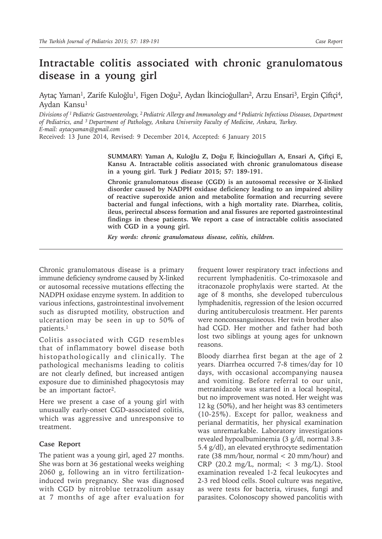## **Intractable colitis associated with chronic granulomatous disease in a young girl**

Aytaç Yaman<sup>1</sup>, Zarife Kuloğlu<sup>1</sup>, Figen Doğu<sup>2</sup>, Aydan İkincioğulları<sup>2</sup>, Arzu Ensari<sup>3</sup>, Ergin Çiftçi<sup>4</sup>, Aydan Kansu<sup>1</sup>

*Divisions of 1 Pediatric Gastroenterology, 2 Pediatric Allergy and Immunology and 4 Pediatric Infectious Diseases, Department of Pediatrics, and 3 Department of Pathology, Ankara University Faculty of Medicine, Ankara, Turkey. E-mail: aytacyaman@gmail.com*

Received: 13 June 2014, Revised: 9 December 2014, Accepted: 6 January 2015

**SUMMARY: Yaman A, Kuloğlu Z, Doğu F, İkincioğulları A, Ensari A, Çiftçi E, Kansu A. Intractable colitis associated with chronic granulomatous disease in a young girl. Turk J Pediatr 2015; 57: 189-191.**

**Chronic granulomatous disease (CGD) is an autosomal recessive or X-linked disorder caused by NADPH oxidase deficiency leading to an impaired ability of reactive superoxide anion and metabolite formation and recurring severe bacterial and fungal infections, with a high mortality rate. Diarrhea, colitis, ileus, perirectal abscess formation and anal fissures are reported gastrointestinal findings in these patients. We report a case of intractable colitis associated with CGD in a young girl.** 

*Key words: chronic granulomatous disease, colitis, children.*

Chronic granulomatous disease is a primary immune deficiency syndrome caused by X-linked or autosomal recessive mutations effecting the NADPH oxidase enzyme system. In addition to various infections, gastrointestinal involvement such as disrupted motility, obstruction and ulceration may be seen in up to 50% of patients.<sup>1</sup>

Colitis associated with CGD resembles that of inflammatory bowel disease both histopathologically and clinically. The pathological mechanisms leading to colitis are not clearly defined, but increased antigen exposure due to diminished phagocytosis may be an important factor<sup>2</sup>.

Here we present a case of a young girl with unusually early-onset CGD-associated colitis, which was aggressive and unresponsive to treatment.

## **Case Report**

The patient was a young girl, aged 27 months. She was born at 36 gestational weeks weighing 2060 g, following an in vitro fertilizationinduced twin pregnancy. She was diagnosed with CGD by nitroblue tetrazolium assay at 7 months of age after evaluation for

frequent lower respiratory tract infections and recurrent lymphadenitis. Co-trimoxasole and itraconazole prophylaxis were started. At the age of 8 months, she developed tuberculous lymphadenitis, regression of the lesion occurred during antituberculosis treatment. Her parents were nonconsanguineous. Her twin brother also had CGD. Her mother and father had both lost two siblings at young ages for unknown reasons.

Bloody diarrhea first began at the age of 2 years. Diarrhea occurred 7-8 times/day for 10 days, with occasional accompanying nausea and vomiting. Before referral to our unit, metranidazole was started in a local hospital, but no improvement was noted. Her weight was 12 kg (50%), and her height was 83 centimeters (10-25%). Except for pallor, weakness and perianal dermatitis, her physical examination was unremarkable. Laboratory investigations revealed hypoalbuminemia (3 g/dl, normal 3.8- 5.4 g/dl), an elevated erythrocyte sedimentation rate (38 mm/hour, normal < 20 mm/hour) and CRP (20.2 mg/L, normal;  $<$  3 mg/L). Stool examination revealed 1-2 fecal leukocytes and 2-3 red blood cells. Stool culture was negative, as were tests for bacteria, viruses, fungi and parasites. Colonoscopy showed pancolitis with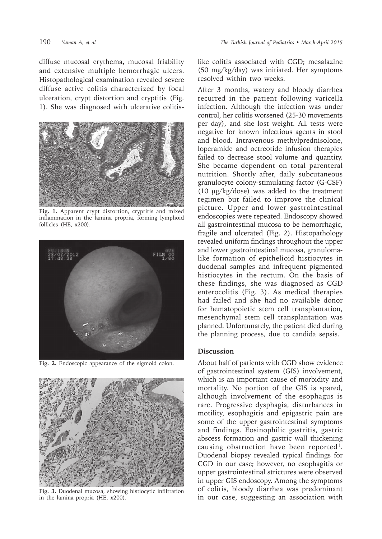diffuse mucosal erythema, mucosal friability and extensive multiple hemorrhagic ulcers. Histopathological examination revealed severe diffuse active colitis characterized by focal ulceration, crypt distortion and cryptitis (Fig. 1). She was diagnosed with ulcerative colitis-



**Fig. 1.** Apparent crypt distortion, cryptitis and mixed inflammation in the lamina propria, forming lymphoid follicles (HE, x200).



**Fig. 2.** Endoscopic appearance of the sigmoid colon.



**Fig. 3.** Duodenal mucosa, showing histiocytic infiltration in the lamina propria (HE, x200).

like colitis associated with CGD; mesalazine (50 mg/kg/day) was initiated. Her symptoms resolved within two weeks.

After 3 months, watery and bloody diarrhea recurred in the patient following varicella infection. Although the infection was under control, her colitis worsened (25-30 movements per day), and she lost weight. All tests were negative for known infectious agents in stool and blood. Intravenous methylprednisolone, loperamide and octreotide infusion therapies failed to decrease stool volume and quantity. She became dependent on total parenteral nutrition. Shortly after, daily subcutaneous granulocyte colony-stimulating factor (G-CSF) (10  $\mu$ g/kg/dose) was added to the treatment regimen but failed to improve the clinical picture. Upper and lower gastrointestinal endoscopies were repeated. Endoscopy showed all gastrointestinal mucosa to be hemorrhagic, fragile and ulcerated (Fig. 2). Histopathology revealed uniform findings throughout the upper and lower gastrointestinal mucosa, granulomalike formation of epithelioid histiocytes in duodenal samples and infrequent pigmented histiocytes in the rectum. On the basis of these findings, she was diagnosed as CGD enterocolitis (Fig. 3). As medical therapies had failed and she had no available donor for hematopoietic stem cell transplantation, mesenchymal stem cell transplantation was planned. Unfortunately, the patient died during the planning process, due to candida sepsis.

## **Discussion**

About half of patients with CGD show evidence of gastrointestinal system (GIS) involvement, which is an important cause of morbidity and mortality. No portion of the GIS is spared, although involvement of the esophagus is rare. Progressive dysphagia, disturbances in motility, esophagitis and epigastric pain are some of the upper gastrointestinal symptoms and findings. Eosinophilic gastritis, gastric abscess formation and gastric wall thickening causing obstruction have been reported<sup>1</sup>. Duodenal biopsy revealed typical findings for CGD in our case; however, no esophagitis or upper gastrointestinal strictures were observed in upper GIS endoscopy. Among the symptoms of colitis, bloody diarrhea was predominant in our case, suggesting an association with